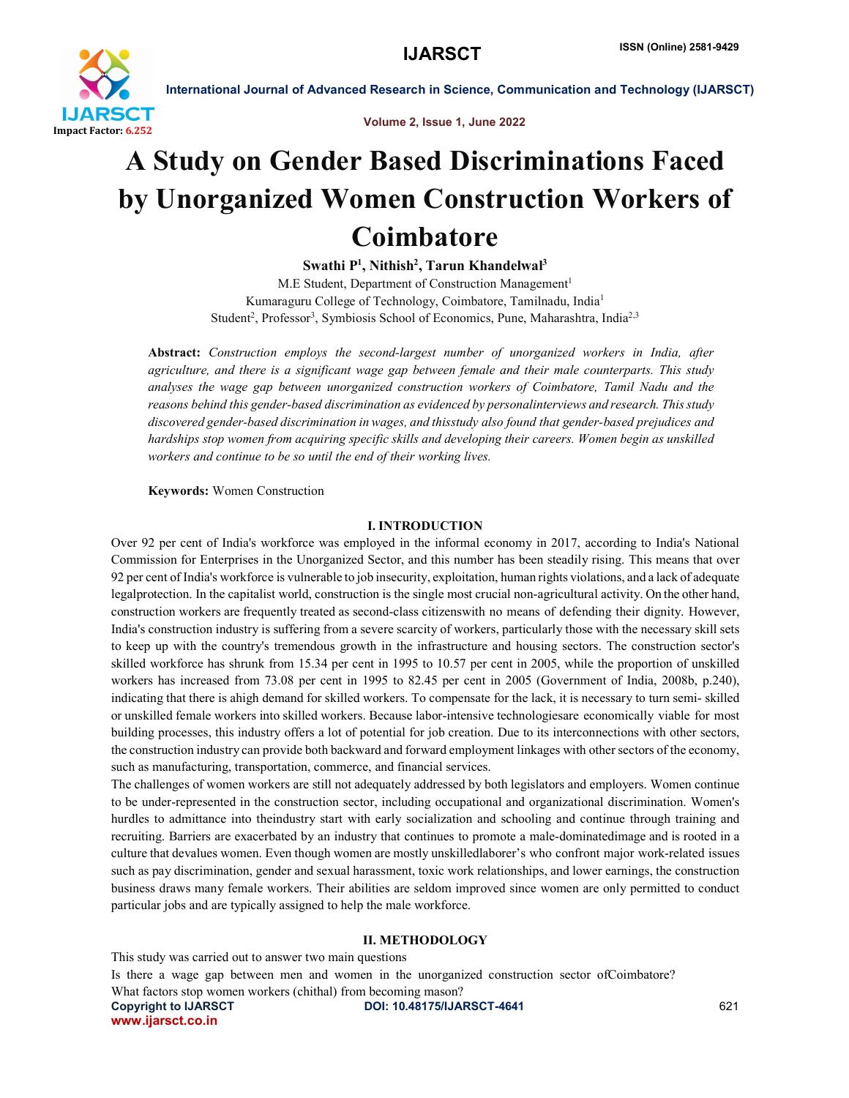

Volume 2, Issue 1, June 2022

# A Study on Gender Based Discriminations Faced by Unorganized Women Construction Workers of Coimbatore

Swathi P<sup>1</sup>, Nithish<sup>2</sup>, Tarun Khandelwal<sup>3</sup>

M.E Student, Department of Construction Management<sup>1</sup> Kumaraguru College of Technology, Coimbatore, Tamilnadu, India1 Student<sup>2</sup>, Professor<sup>3</sup>, Symbiosis School of Economics, Pune, Maharashtra, India<sup>2,3</sup>

Abstract: *Construction employs the second-largest number of unorganized workers in India, after agriculture, and there is a significant wage gap between female and their male counterparts. This study analyses the wage gap between unorganized construction workers of Coimbatore, Tamil Nadu and the reasons behind this gender-based discrimination as evidenced by personalinterviews and research. Thisstudy discovered gender-based discrimination in wages, and thisstudy also found that gender-based prejudices and hardships stop women from acquiring specific skills and developing their careers. Women begin as unskilled workers and continue to be so until the end of their working lives.*

Keywords: Women Construction

# I. INTRODUCTION

Over 92 per cent of India's workforce was employed in the informal economy in 2017, according to India's National Commission for Enterprises in the Unorganized Sector, and this number has been steadily rising. This means that over 92 per cent of India's workforce is vulnerable to job insecurity, exploitation, human rights violations, and a lack of adequate legalprotection. In the capitalist world, construction is the single most crucial non-agricultural activity. On the other hand, construction workers are frequently treated as second-class citizenswith no means of defending their dignity. However, India's construction industry is suffering from a severe scarcity of workers, particularly those with the necessary skill sets to keep up with the country's tremendous growth in the infrastructure and housing sectors. The construction sector's skilled workforce has shrunk from 15.34 per cent in 1995 to 10.57 per cent in 2005, while the proportion of unskilled workers has increased from 73.08 per cent in 1995 to 82.45 per cent in 2005 (Government of India, 2008b, p.240), indicating that there is ahigh demand for skilled workers. To compensate for the lack, it is necessary to turn semi- skilled or unskilled female workers into skilled workers. Because labor-intensive technologiesare economically viable for most building processes, this industry offers a lot of potential for job creation. Due to its interconnections with other sectors, the construction industry can provide both backward and forward employment linkages with other sectors of the economy, such as manufacturing, transportation, commerce, and financial services.

The challenges of women workers are still not adequately addressed by both legislators and employers. Women continue to be under-represented in the construction sector, including occupational and organizational discrimination. Women's hurdles to admittance into theindustry start with early socialization and schooling and continue through training and recruiting. Barriers are exacerbated by an industry that continues to promote a male-dominatedimage and is rooted in a culture that devalues women. Even though women are mostly unskilledlaborer's who confront major work-related issues such as pay discrimination, gender and sexual harassment, toxic work relationships, and lower earnings, the construction business draws many female workers. Their abilities are seldom improved since women are only permitted to conduct particular jobs and are typically assigned to help the male workforce.

# II. METHODOLOGY

Copyright to IJARSCT **DOI: 10.48175/IJARSCT-4641** 621 www.ijarsct.co.in This study was carried out to answer two main questions Is there a wage gap between men and women in the unorganized construction sector ofCoimbatore? What factors stop women workers (chithal) from becoming mason?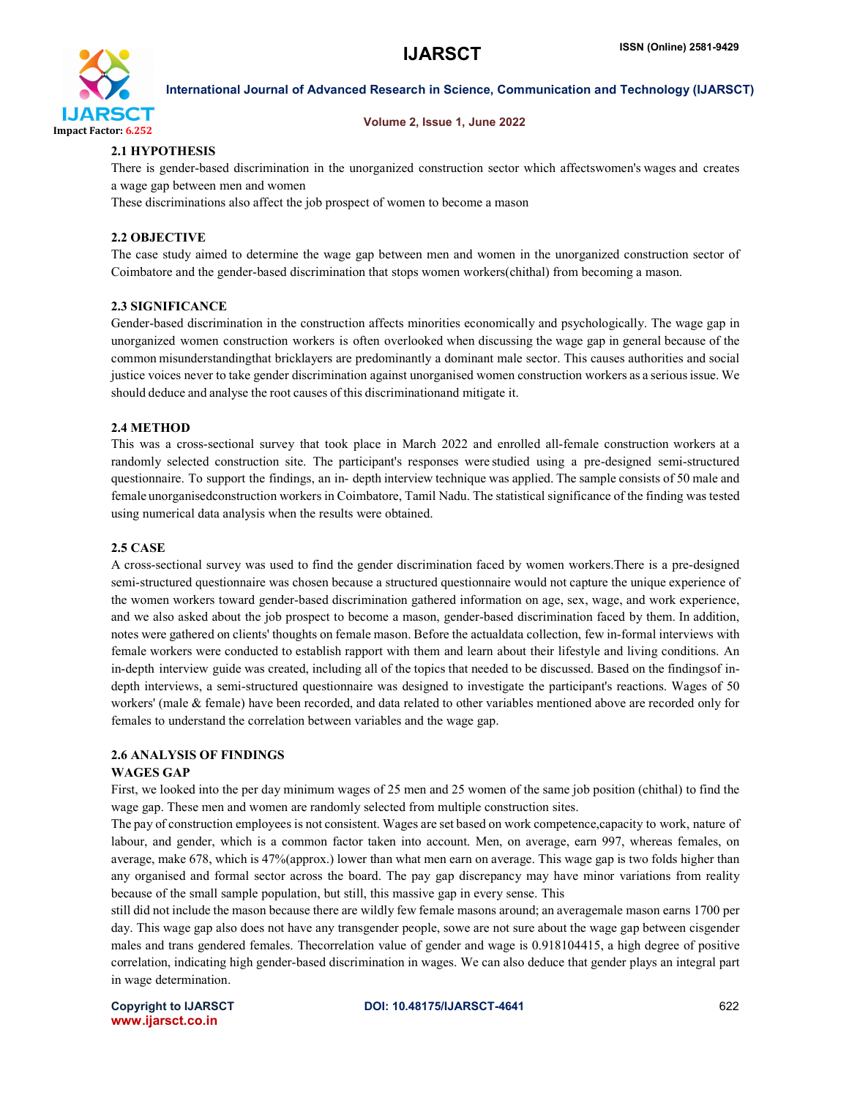

# Volume 2, Issue 1, June 2022

# 2.1 HYPOTHESIS

There is gender-based discrimination in the unorganized construction sector which affectswomen's wages and creates a wage gap between men and women

These discriminations also affect the job prospect of women to become a mason

# 2.2 OBJECTIVE

The case study aimed to determine the wage gap between men and women in the unorganized construction sector of Coimbatore and the gender-based discrimination that stops women workers(chithal) from becoming a mason.

# 2.3 SIGNIFICANCE

Gender-based discrimination in the construction affects minorities economically and psychologically. The wage gap in unorganized women construction workers is often overlooked when discussing the wage gap in general because of the common misunderstandingthat bricklayers are predominantly a dominant male sector. This causes authorities and social justice voices never to take gender discrimination against unorganised women construction workers as a seriousissue. We should deduce and analyse the root causes of this discriminationand mitigate it.

# 2.4 METHOD

This was a cross-sectional survey that took place in March 2022 and enrolled all-female construction workers at a randomly selected construction site. The participant's responses were studied using a pre-designed semi-structured questionnaire. To support the findings, an in- depth interview technique was applied. The sample consists of 50 male and female unorganisedconstruction workers in Coimbatore, Tamil Nadu. The statistical significance of the finding was tested using numerical data analysis when the results were obtained.

## 2.5 CASE

A cross-sectional survey was used to find the gender discrimination faced by women workers.There is a pre-designed semi-structured questionnaire was chosen because a structured questionnaire would not capture the unique experience of the women workers toward gender-based discrimination gathered information on age, sex, wage, and work experience, and we also asked about the job prospect to become a mason, gender-based discrimination faced by them. In addition, notes were gathered on clients' thoughts on female mason. Before the actualdata collection, few in-formal interviews with female workers were conducted to establish rapport with them and learn about their lifestyle and living conditions. An in-depth interview guide was created, including all of the topics that needed to be discussed. Based on the findingsof indepth interviews, a semi-structured questionnaire was designed to investigate the participant's reactions. Wages of 50 workers' (male & female) have been recorded, and data related to other variables mentioned above are recorded only for females to understand the correlation between variables and the wage gap.

# 2.6 ANALYSIS OF FINDINGS

## WAGES GAP

First, we looked into the per day minimum wages of 25 men and 25 women of the same job position (chithal) to find the wage gap. These men and women are randomly selected from multiple construction sites.

The pay of construction employees is not consistent. Wages are set based on work competence,capacity to work, nature of labour, and gender, which is a common factor taken into account. Men, on average, earn 997, whereas females, on average, make 678, which is 47%(approx.) lower than what men earn on average. This wage gap is two folds higher than any organised and formal sector across the board. The pay gap discrepancy may have minor variations from reality because of the small sample population, but still, this massive gap in every sense. This

still did not include the mason because there are wildly few female masons around; an averagemale mason earns 1700 per day. This wage gap also does not have any transgender people, sowe are not sure about the wage gap between cisgender males and trans gendered females. Thecorrelation value of gender and wage is 0.918104415, a high degree of positive correlation, indicating high gender-based discrimination in wages. We can also deduce that gender plays an integral part in wage determination.

www.ijarsct.co.in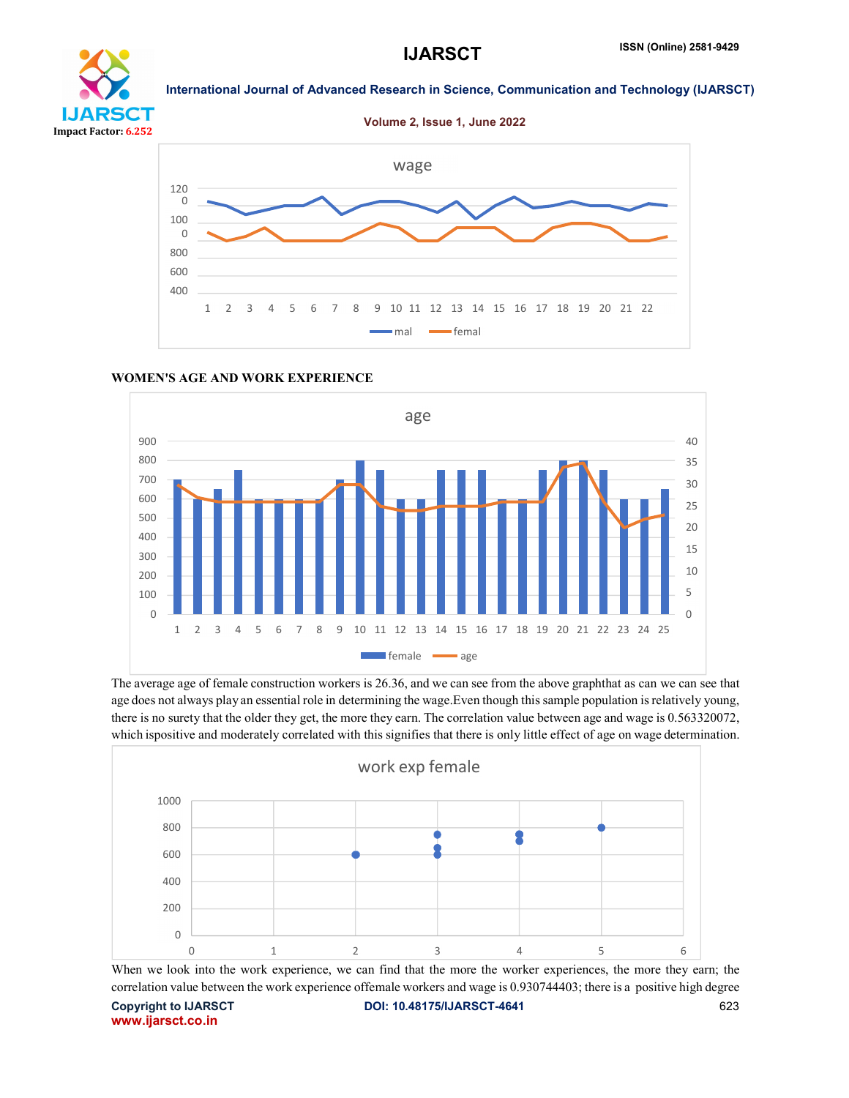

# ĎТ Impact Factor: 6.252

Volume 2, Issue 1, June 2022

International Journal of Advanced Research in Science, Communication and Technology (IJARSCT)



### age  $900$ 800 700 600 500 400 300 200 100  $\Omega$ 40 35 30 25 20 15 10 5  $\overline{0}$ 1 2 3 4 5 6 7 8 9 10 11 12 13 14 15 16 17 18 19 20 21 22 23 24 25 female age

# WOMEN'S AGE AND WORK EXPERIENCE

The average age of female construction workers is 26.36, and we can see from the above graphthat as can we can see that age does not always play an essential role in determining the wage.Even though this sample population is relatively young, there is no surety that the older they get, the more they earn. The correlation value between age and wage is 0.563320072, which ispositive and moderately correlated with this signifies that there is only little effect of age on wage determination.



Copyright to IJARSCT **DOI: 10.48175/IJARSCT-4641** 623 www.ijarsct.co.in When we look into the work experience, we can find that the more the worker experiences, the more they earn; the correlation value between the work experience offemale workers and wage is 0.930744403; there is a positive high degree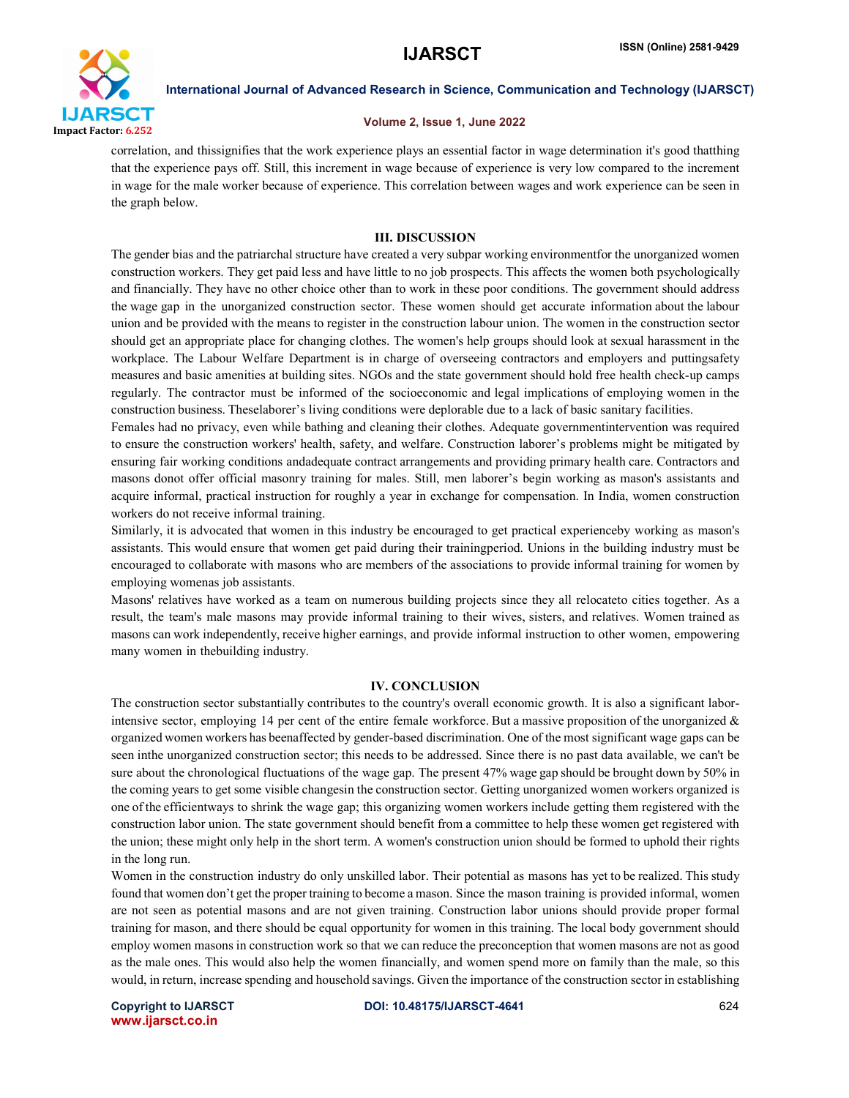

# Volume 2, Issue 1, June 2022

correlation, and thissignifies that the work experience plays an essential factor in wage determination it's good thatthing that the experience pays off. Still, this increment in wage because of experience is very low compared to the increment in wage for the male worker because of experience. This correlation between wages and work experience can be seen in the graph below.

# III. DISCUSSION

The gender bias and the patriarchal structure have created a very subpar working environmentfor the unorganized women construction workers. They get paid less and have little to no job prospects. This affects the women both psychologically and financially. They have no other choice other than to work in these poor conditions. The government should address the wage gap in the unorganized construction sector. These women should get accurate information about the labour union and be provided with the means to register in the construction labour union. The women in the construction sector should get an appropriate place for changing clothes. The women's help groups should look at sexual harassment in the workplace. The Labour Welfare Department is in charge of overseeing contractors and employers and puttingsafety measures and basic amenities at building sites. NGOs and the state government should hold free health check-up camps regularly. The contractor must be informed of the socioeconomic and legal implications of employing women in the construction business. Theselaborer's living conditions were deplorable due to a lack of basic sanitary facilities.

Females had no privacy, even while bathing and cleaning their clothes. Adequate governmentintervention was required to ensure the construction workers' health, safety, and welfare. Construction laborer's problems might be mitigated by ensuring fair working conditions andadequate contract arrangements and providing primary health care. Contractors and masons donot offer official masonry training for males. Still, men laborer's begin working as mason's assistants and acquire informal, practical instruction for roughly a year in exchange for compensation. In India, women construction workers do not receive informal training.

Similarly, it is advocated that women in this industry be encouraged to get practical experienceby working as mason's assistants. This would ensure that women get paid during their trainingperiod. Unions in the building industry must be encouraged to collaborate with masons who are members of the associations to provide informal training for women by employing womenas job assistants.

Masons' relatives have worked as a team on numerous building projects since they all relocateto cities together. As a result, the team's male masons may provide informal training to their wives, sisters, and relatives. Women trained as masons can work independently, receive higher earnings, and provide informal instruction to other women, empowering many women in thebuilding industry.

# IV. CONCLUSION

The construction sector substantially contributes to the country's overall economic growth. It is also a significant laborintensive sector, employing 14 per cent of the entire female workforce. But a massive proposition of the unorganized  $\&$ organized women workers has beenaffected by gender-based discrimination. One of the most significant wage gaps can be seen inthe unorganized construction sector; this needs to be addressed. Since there is no past data available, we can't be sure about the chronological fluctuations of the wage gap. The present 47% wage gap should be brought down by 50% in the coming years to get some visible changesin the construction sector. Getting unorganized women workers organized is one of the efficientways to shrink the wage gap; this organizing women workers include getting them registered with the construction labor union. The state government should benefit from a committee to help these women get registered with the union; these might only help in the short term. A women's construction union should be formed to uphold their rights in the long run.

Women in the construction industry do only unskilled labor. Their potential as masons has yet to be realized. This study found that women don't get the proper training to become a mason. Since the mason training is provided informal, women are not seen as potential masons and are not given training. Construction labor unions should provide proper formal training for mason, and there should be equal opportunity for women in this training. The local body government should employ women masons in construction work so that we can reduce the preconception that women masons are not as good as the male ones. This would also help the women financially, and women spend more on family than the male, so this would, in return, increase spending and household savings. Given the importance of the construction sector in establishing

www.ijarsct.co.in